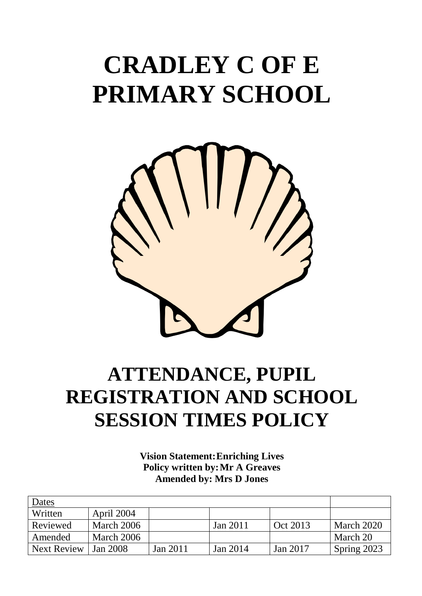# **CRADLEY C OF E PRIMARY SCHOOL**



# **ATTENDANCE, PUPIL REGISTRATION AND SCHOOL SESSION TIMES POLICY**

**Vision Statement:Enriching Lives Policy written by:Mr A Greaves Amended by: Mrs D Jones**

| Dates              |            |          |          |          |             |
|--------------------|------------|----------|----------|----------|-------------|
| Written            | April 2004 |          |          |          |             |
| Reviewed           | March 2006 |          | Jan 2011 | Oct 2013 | March 2020  |
| Amended            | March 2006 |          |          |          | March 20    |
| <b>Next Review</b> | Jan 2008   | Jan 2011 | Jan 2014 | Jan 2017 | Spring 2023 |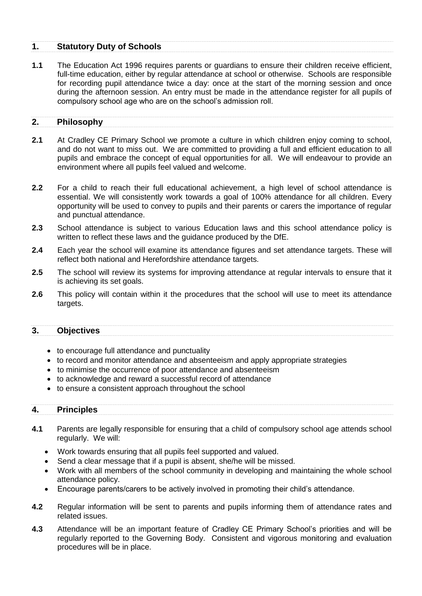#### **1. Statutory Duty of Schools**

**1.1** The Education Act 1996 requires parents or guardians to ensure their children receive efficient, full-time education, either by regular attendance at school or otherwise. Schools are responsible for recording pupil attendance twice a day: once at the start of the morning session and once during the afternoon session. An entry must be made in the attendance register for all pupils of compulsory school age who are on the school's admission roll.

#### **2. Philosophy**

- **2.1** At Cradley CE Primary School we promote a culture in which children enjoy coming to school, and do not want to miss out. We are committed to providing a full and efficient education to all pupils and embrace the concept of equal opportunities for all. We will endeavour to provide an environment where all pupils feel valued and welcome.
- **2.2** For a child to reach their full educational achievement, a high level of school attendance is essential. We will consistently work towards a goal of 100% attendance for all children. Every opportunity will be used to convey to pupils and their parents or carers the importance of regular and punctual attendance.
- **2.3** School attendance is subject to various Education laws and this school attendance policy is written to reflect these laws and the guidance produced by the DfE.
- **2.4** Each year the school will examine its attendance figures and set attendance targets. These will reflect both national and Herefordshire attendance targets.
- **2.5** The school will review its systems for improving attendance at regular intervals to ensure that it is achieving its set goals.
- **2.6** This policy will contain within it the procedures that the school will use to meet its attendance targets.

#### **3. Objectives**

- to encourage full attendance and punctuality
- to record and monitor attendance and absenteeism and apply appropriate strategies
- to minimise the occurrence of poor attendance and absenteeism
- to acknowledge and reward a successful record of attendance
- to ensure a consistent approach throughout the school

#### **4. Principles**

- **4.1** Parents are legally responsible for ensuring that a child of compulsory school age attends school regularly. We will:
	- Work towards ensuring that all pupils feel supported and valued.
	- Send a clear message that if a pupil is absent, she/he will be missed.
	- Work with all members of the school community in developing and maintaining the whole school attendance policy.
	- Encourage parents/carers to be actively involved in promoting their child's attendance.
- **4.2** Regular information will be sent to parents and pupils informing them of attendance rates and related issues.
- **4.3** Attendance will be an important feature of Cradley CE Primary School's priorities and will be regularly reported to the Governing Body. Consistent and vigorous monitoring and evaluation procedures will be in place.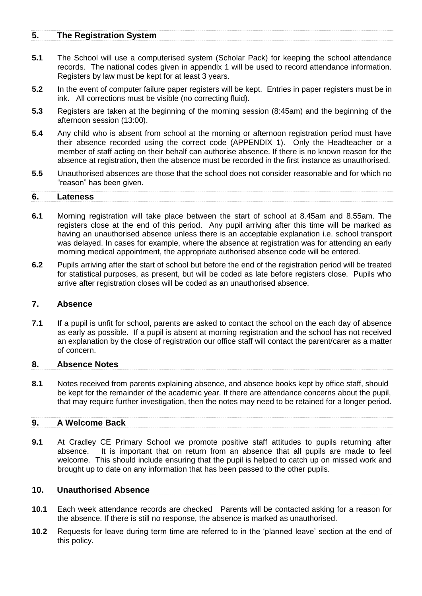#### **5. The Registration System**

- **5.1** The School will use a computerised system (Scholar Pack) for keeping the school attendance records. The national codes given in appendix 1 will be used to record attendance information. Registers by law must be kept for at least 3 years.
- **5.2** In the event of computer failure paper registers will be kept. Entries in paper registers must be in ink. All corrections must be visible (no correcting fluid).
- **5.3** Registers are taken at the beginning of the morning session (8:45am) and the beginning of the afternoon session (13:00).
- **5.4** Any child who is absent from school at the morning or afternoon registration period must have their absence recorded using the correct code (APPENDIX 1). Only the Headteacher or a member of staff acting on their behalf can authorise absence. If there is no known reason for the absence at registration, then the absence must be recorded in the first instance as unauthorised.
- **5.5** Unauthorised absences are those that the school does not consider reasonable and for which no "reason" has been given.

#### **6. Lateness**

- **6.1** Morning registration will take place between the start of school at 8.45am and 8.55am. The registers close at the end of this period. Any pupil arriving after this time will be marked as having an unauthorised absence unless there is an acceptable explanation i.e. school transport was delayed. In cases for example, where the absence at registration was for attending an early morning medical appointment, the appropriate authorised absence code will be entered.
- **6.2** Pupils arriving after the start of school but before the end of the registration period will be treated for statistical purposes, as present, but will be coded as late before registers close. Pupils who arrive after registration closes will be coded as an unauthorised absence.

#### **7. Absence**

**7.1** If a pupil is unfit for school, parents are asked to contact the school on the each day of absence as early as possible. If a pupil is absent at morning registration and the school has not received an explanation by the close of registration our office staff will contact the parent/carer as a matter of concern.

#### **8. Absence Notes**

**8.1** Notes received from parents explaining absence, and absence books kept by office staff, should be kept for the remainder of the academic year. If there are attendance concerns about the pupil, that may require further investigation, then the notes may need to be retained for a longer period.

#### **9. A Welcome Back**

**9.1** At Cradley CE Primary School we promote positive staff attitudes to pupils returning after absence. It is important that on return from an absence that all pupils are made to feel welcome. This should include ensuring that the pupil is helped to catch up on missed work and brought up to date on any information that has been passed to the other pupils.

#### **10. Unauthorised Absence**

- **10.1** Each week attendance records are checked Parents will be contacted asking for a reason for the absence. If there is still no response, the absence is marked as unauthorised.
- **10.2** Requests for leave during term time are referred to in the 'planned leave' section at the end of this policy.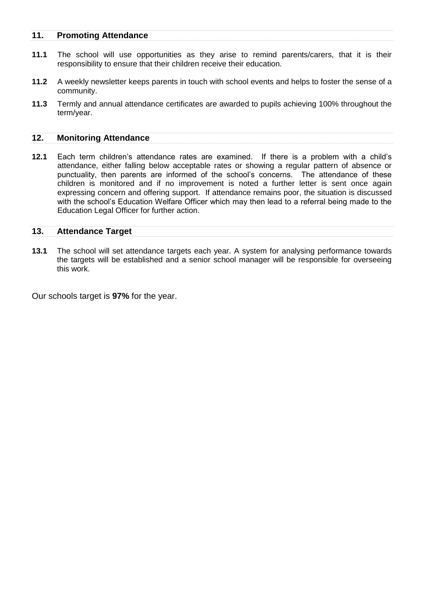#### **11. Promoting Attendance**

- **11.1** The school will use opportunities as they arise to remind parents/carers, that it is their responsibility to ensure that their children receive their education.
- **11.2** A weekly newsletter keeps parents in touch with school events and helps to foster the sense of a community.
- **11.3** Termly and annual attendance certificates are awarded to pupils achieving 100% throughout the term/year.

#### **12. Monitoring Attendance**

**12.1** Each term children's attendance rates are examined. If there is a problem with a child's attendance, either falling below acceptable rates or showing a regular pattern of absence or punctuality, then parents are informed of the school's concerns. The attendance of these children is monitored and if no improvement is noted a further letter is sent once again expressing concern and offering support. If attendance remains poor, the situation is discussed with the school's Education Welfare Officer which may then lead to a referral being made to the Education Legal Officer for further action.

#### **13. Attendance Target**

**13.1** The school will set attendance targets each year. A system for analysing performance towards the targets will be established and a senior school manager will be responsible for overseeing this work.

Our schools target is **97%** for the year.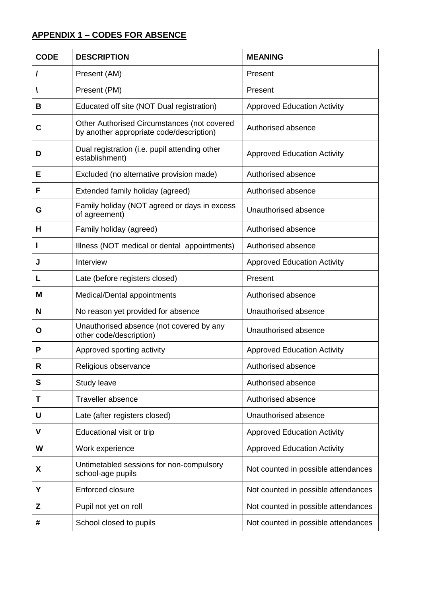# **APPENDIX 1 – CODES FOR ABSENCE**

| <b>CODE</b> | <b>DESCRIPTION</b>                                                                      | <b>MEANING</b>                      |
|-------------|-----------------------------------------------------------------------------------------|-------------------------------------|
| 7           | Present (AM)                                                                            | Present                             |
| A           | Present (PM)                                                                            | Present                             |
| В           | Educated off site (NOT Dual registration)                                               | <b>Approved Education Activity</b>  |
| C           | Other Authorised Circumstances (not covered<br>by another appropriate code/description) | Authorised absence                  |
| D           | Dual registration (i.e. pupil attending other<br>establishment)                         | <b>Approved Education Activity</b>  |
| Е           | Excluded (no alternative provision made)                                                | Authorised absence                  |
| F           | Extended family holiday (agreed)                                                        | Authorised absence                  |
| G           | Family holiday (NOT agreed or days in excess<br>of agreement)                           | Unauthorised absence                |
| н           | Family holiday (agreed)                                                                 | Authorised absence                  |
|             | Illness (NOT medical or dental appointments)                                            | Authorised absence                  |
| J           | Interview                                                                               | <b>Approved Education Activity</b>  |
| L           | Late (before registers closed)                                                          | Present                             |
| M           | Medical/Dental appointments                                                             | Authorised absence                  |
| N           | No reason yet provided for absence                                                      | Unauthorised absence                |
| O           | Unauthorised absence (not covered by any<br>other code/description)                     | Unauthorised absence                |
| P           | Approved sporting activity                                                              | <b>Approved Education Activity</b>  |
| R           | Religious observance                                                                    | Authorised absence                  |
| S           | Study leave                                                                             | Authorised absence                  |
| Τ           | Traveller absence                                                                       | Authorised absence                  |
| U           | Late (after registers closed)                                                           | Unauthorised absence                |
| V           | Educational visit or trip                                                               | <b>Approved Education Activity</b>  |
| W           | Work experience                                                                         | <b>Approved Education Activity</b>  |
| X           | Untimetabled sessions for non-compulsory<br>school-age pupils                           | Not counted in possible attendances |
| Y           | Enforced closure                                                                        | Not counted in possible attendances |
| Z           | Pupil not yet on roll                                                                   | Not counted in possible attendances |
| #           | School closed to pupils                                                                 | Not counted in possible attendances |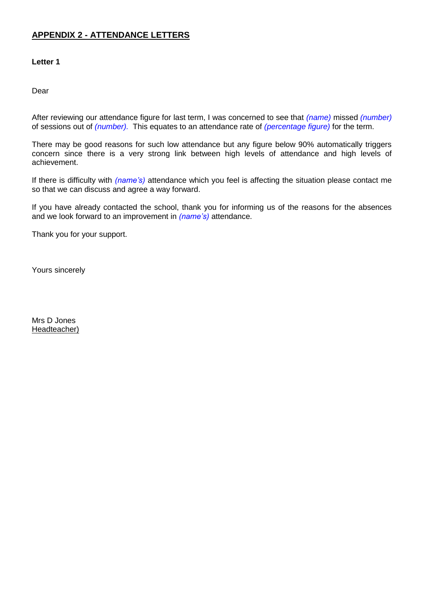# **APPENDIX 2 - ATTENDANCE LETTERS**

#### **Letter 1**

Dear

After reviewing our attendance figure for last term, I was concerned to see that *(name)* missed *(number)* of sessions out of *(number).* This equates to an attendance rate of *(percentage figure)* for the term.

There may be good reasons for such low attendance but any figure below 90% automatically triggers concern since there is a very strong link between high levels of attendance and high levels of achievement.

If there is difficulty with *(name's)* attendance which you feel is affecting the situation please contact me so that we can discuss and agree a way forward.

If you have already contacted the school, thank you for informing us of the reasons for the absences and we look forward to an improvement in *(name's)* attendance.

Thank you for your support.

Yours sincerely

Mrs D Jones Headteacher)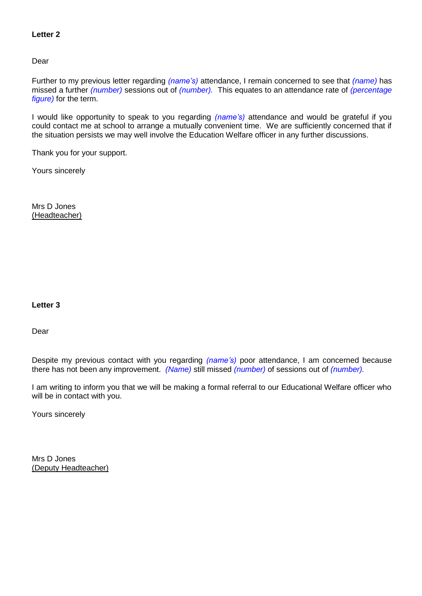#### **Letter 2**

Dear

Further to my previous letter regarding *(name's)* attendance, I remain concerned to see that *(name)* has missed a further *(number)* sessions out of *(number).* This equates to an attendance rate of *(percentage figure)* for the term.

I would like opportunity to speak to you regarding *(name's)* attendance and would be grateful if you could contact me at school to arrange a mutually convenient time. We are sufficiently concerned that if the situation persists we may well involve the Education Welfare officer in any further discussions.

Thank you for your support.

Yours sincerely

Mrs D Jones (Headteacher)

#### **Letter 3**

Dear

Despite my previous contact with you regarding *(name's)* poor attendance, I am concerned because there has not been any improvement. *(Name)* still missed *(number)* of sessions out of *(number).*

I am writing to inform you that we will be making a formal referral to our Educational Welfare officer who will be in contact with you.

Yours sincerely

Mrs D Jones (Deputy Headteacher)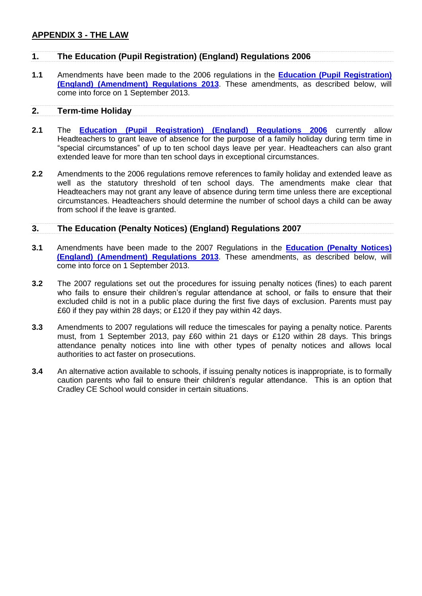## **APPENDIX 3 - THE LAW**

## **1. The Education (Pupil Registration) (England) Regulations 2006**

**1.1** Amendments have been made to the 2006 regulations in the **[Education \(Pupil Registration\)](http://www.legislation.gov.uk/uksi/2013/756/contents/made)  [\(England\) \(Amendment\) Regulations 2013](http://www.legislation.gov.uk/uksi/2013/756/contents/made)**. These amendments, as described below, will come into force on 1 September 2013.

#### **2. Term-time Holiday**

- **2.1** The **[Education \(Pupil Registration\) \(England\) Regulations 2006](http://www.legislation.gov.uk/uksi/2006/1751/contents/made)** currently allow Headteachers to grant leave of absence for the purpose of a family holiday during term time in "special circumstances" of up to ten school days leave per year. Headteachers can also grant extended leave for more than ten school days in exceptional circumstances.
- **2.2** Amendments to the 2006 regulations remove references to family holiday and extended leave as well as the statutory threshold of ten school days. The amendments make clear that Headteachers may not grant any leave of absence during term time unless there are exceptional circumstances. Headteachers should determine the number of school days a child can be away from school if the leave is granted.

#### **3. The Education (Penalty Notices) (England) Regulations 2007**

- **3.1** Amendments have been made to the 2007 Regulations in the **[Education \(Penalty Notices\)](http://www.legislation.gov.uk/uksi/2013/757/contents/made)  [\(England\) \(Amendment\) Regulations 2013](http://www.legislation.gov.uk/uksi/2013/757/contents/made)**. These amendments, as described below, will come into force on 1 September 2013.
- **3.2** The 2007 regulations set out the procedures for issuing penalty notices (fines) to each parent who fails to ensure their children's regular attendance at school, or fails to ensure that their excluded child is not in a public place during the first five days of exclusion. Parents must pay £60 if they pay within 28 days; or £120 if they pay within 42 days.
- **3.3** Amendments to 2007 regulations will reduce the timescales for paying a penalty notice. Parents must, from 1 September 2013, pay £60 within 21 days or £120 within 28 days. This brings attendance penalty notices into line with other types of penalty notices and allows local authorities to act faster on prosecutions.
- **3.4** An alternative action available to schools, if issuing penalty notices is inappropriate, is to formally caution parents who fail to ensure their children's regular attendance. This is an option that Cradley CE School would consider in certain situations.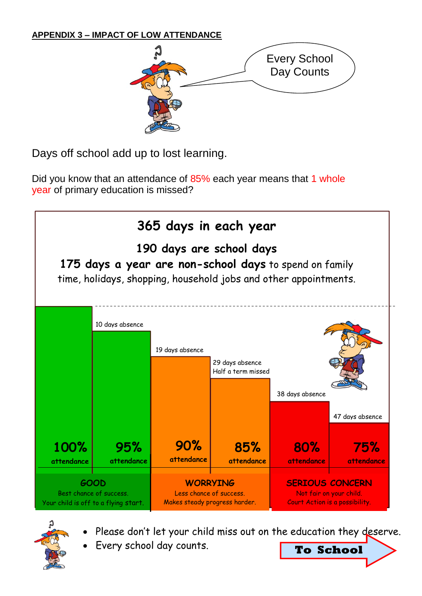# **APPENDIX 3 – IMPACT OF LOW ATTENDANCE**



Days off school add up to lost learning.

Did you know that an attendance of 85% each year means that 1 whole year of primary education is missed?



- 
- Please don't let your child miss out on the education they deserve.
- Every school day counts. **To School**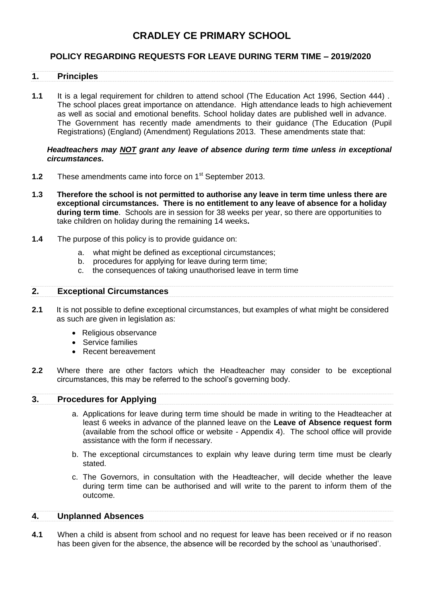# **CRADLEY CE PRIMARY SCHOOL**

# **POLICY REGARDING REQUESTS FOR LEAVE DURING TERM TIME – 2019/2020**

#### **1. Principles**

**1.1** It is a legal requirement for children to attend school (The Education Act 1996, Section 444) . The school places great importance on attendance. High attendance leads to high achievement as well as social and emotional benefits. School holiday dates are published well in advance. The Government has recently made amendments to their guidance (The Education (Pupil Registrations) (England) (Amendment) Regulations 2013. These amendments state that:

#### *Headteachers may NOT grant any leave of absence during term time unless in exceptional circumstances.*

- **1.2** These amendments came into force on 1<sup>st</sup> September 2013.
- **1.3 Therefore the school is not permitted to authorise any leave in term time unless there are exceptional circumstances. There is no entitlement to any leave of absence for a holiday during term time**. Schools are in session for 38 weeks per year, so there are opportunities to take children on holiday during the remaining 14 weeks**.**
- **1.4** The purpose of this policy is to provide guidance on:
	- a. what might be defined as exceptional circumstances;
	- b. procedures for applying for leave during term time;
	- c. the consequences of taking unauthorised leave in term time

#### **2. Exceptional Circumstances**

- **2.1** It is not possible to define exceptional circumstances, but examples of what might be considered as such are given in legislation as:
	- Religious observance
	- Service families
	- Recent bereavement
- **2.2** Where there are other factors which the Headteacher may consider to be exceptional circumstances, this may be referred to the school's governing body.

#### **3. Procedures for Applying**

- a. Applications for leave during term time should be made in writing to the Headteacher at least 6 weeks in advance of the planned leave on the **Leave of Absence request form**  (available from the school office or website - Appendix 4). The school office will provide assistance with the form if necessary.
- b. The exceptional circumstances to explain why leave during term time must be clearly stated.
- c. The Governors, in consultation with the Headteacher, will decide whether the leave during term time can be authorised and will write to the parent to inform them of the outcome.

#### **4. Unplanned Absences**

**4.1** When a child is absent from school and no request for leave has been received or if no reason has been given for the absence, the absence will be recorded by the school as 'unauthorised'.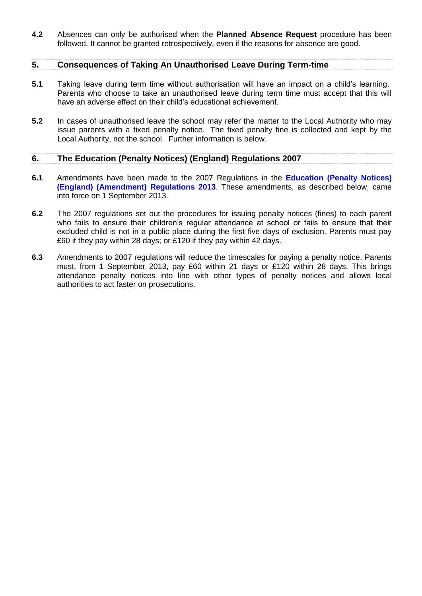**4.2** Absences can only be authorised when the **Planned Absence Request** procedure has been followed. It cannot be granted retrospectively, even if the reasons for absence are good.

#### **5. Consequences of Taking An Unauthorised Leave During Term-time**

- **5.1** Taking leave during term time without authorisation will have an impact on a child's learning. Parents who choose to take an unauthorised leave during term time must accept that this will have an adverse effect on their child's educational achievement.
- **5.2** In cases of unauthorised leave the school may refer the matter to the Local Authority who may issue parents with a fixed penalty notice. The fixed penalty fine is collected and kept by the Local Authority, not the school. Further information is below.

#### **6. The Education (Penalty Notices) (England) Regulations 2007**

- **6.1** Amendments have been made to the 2007 Regulations in the **[Education \(Penalty Notices\)](http://www.legislation.gov.uk/uksi/2013/757/contents/made)  [\(England\) \(Amendment\) Regulations 2013](http://www.legislation.gov.uk/uksi/2013/757/contents/made)**. These amendments, as described below, came into force on 1 September 2013.
- **6.2** The 2007 regulations set out the procedures for issuing penalty notices (fines) to each parent who fails to ensure their children's regular attendance at school or fails to ensure that their excluded child is not in a public place during the first five days of exclusion. Parents must pay £60 if they pay within 28 days; or £120 if they pay within 42 days.
- **6.3** Amendments to 2007 regulations will reduce the timescales for paying a penalty notice. Parents must, from 1 September 2013, pay £60 within 21 days or £120 within 28 days. This brings attendance penalty notices into line with other types of penalty notices and allows local authorities to act faster on prosecutions.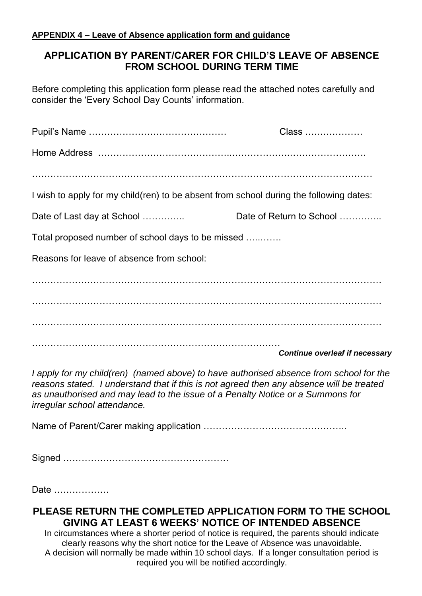# **APPENDIX 4 – Leave of Absence application form and guidance**

# **APPLICATION BY PARENT/CARER FOR CHILD'S LEAVE OF ABSENCE FROM SCHOOL DURING TERM TIME**

Before completing this application form please read the attached notes carefully and consider the 'Every School Day Counts' information.

|                                                                                        | Class                                 |
|----------------------------------------------------------------------------------------|---------------------------------------|
|                                                                                        |                                       |
|                                                                                        |                                       |
| I wish to apply for my child(ren) to be absent from school during the following dates: |                                       |
| Date of Last day at School                                                             | Date of Return to School              |
| Total proposed number of school days to be missed                                      |                                       |
| Reasons for leave of absence from school:                                              |                                       |
|                                                                                        |                                       |
|                                                                                        |                                       |
|                                                                                        |                                       |
|                                                                                        | <b>Continue overleaf if necessary</b> |

*I apply for my child(ren) (named above) to have authorised absence from school for the reasons stated. I understand that if this is not agreed then any absence will be treated as unauthorised and may lead to the issue of a Penalty Notice or a Summons for irregular school attendance.*

Name of Parent/Carer making application ………………………………………..

Signed ………………………………………………

Date ………………

# **PLEASE RETURN THE COMPLETED APPLICATION FORM TO THE SCHOOL GIVING AT LEAST 6 WEEKS' NOTICE OF INTENDED ABSENCE**

In circumstances where a shorter period of notice is required, the parents should indicate clearly reasons why the short notice for the Leave of Absence was unavoidable. A decision will normally be made within 10 school days. If a longer consultation period is required you will be notified accordingly.